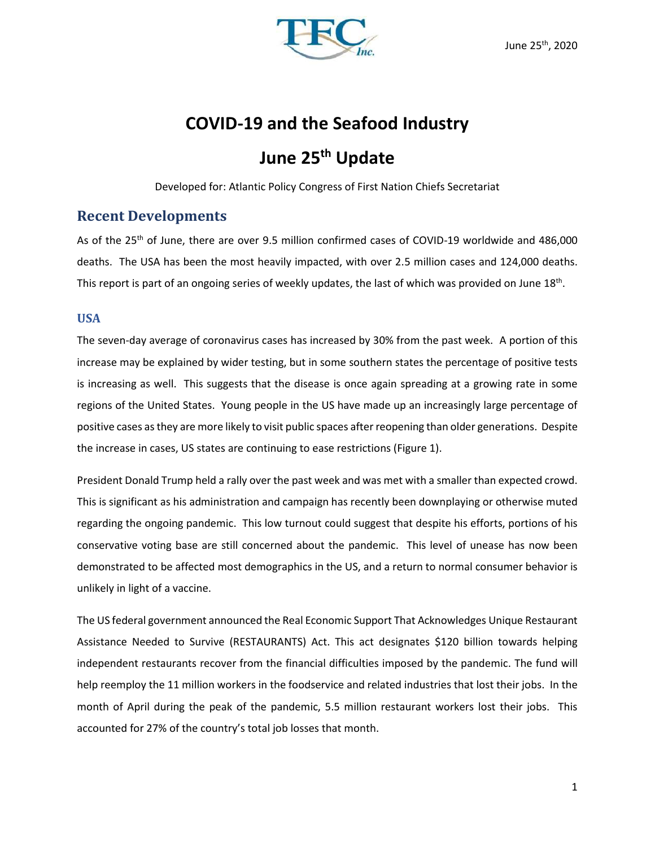

# **COVID-19 and the Seafood Industry**

# **June 25th Update**

Developed for: Atlantic Policy Congress of First Nation Chiefs Secretariat

## **Recent Developments**

As of the 25<sup>th</sup> of June, there are over 9.5 million confirmed cases of COVID-19 worldwide and 486,000 deaths. The USA has been the most heavily impacted, with over 2.5 million cases and 124,000 deaths. This report is part of an ongoing series of weekly updates, the last of which was provided on June 18<sup>th</sup>.

### **USA**

The seven-day average of coronavirus cases has increased by 30% from the past week. A portion of this increase may be explained by wider testing, but in some southern states the percentage of positive tests is increasing as well. This suggests that the disease is once again spreading at a growing rate in some regions of the United States. Young people in the US have made up an increasingly large percentage of positive cases as they are more likely to visit public spaces after reopening than older generations. Despite the increase in cases, US states are continuing to ease restrictions (Figure 1).

President Donald Trump held a rally over the past week and was met with a smaller than expected crowd. This is significant as his administration and campaign has recently been downplaying or otherwise muted regarding the ongoing pandemic. This low turnout could suggest that despite his efforts, portions of his conservative voting base are still concerned about the pandemic. This level of unease has now been demonstrated to be affected most demographics in the US, and a return to normal consumer behavior is unlikely in light of a vaccine.

The US federal government announced the Real Economic Support That Acknowledges Unique Restaurant Assistance Needed to Survive (RESTAURANTS) Act. This act designates \$120 billion towards helping independent restaurants recover from the financial difficulties imposed by the pandemic. The fund will help reemploy the 11 million workers in the foodservice and related industries that lost their jobs. In the month of April during the peak of the pandemic, 5.5 million restaurant workers lost their jobs. This accounted for 27% of the country's total job losses that month.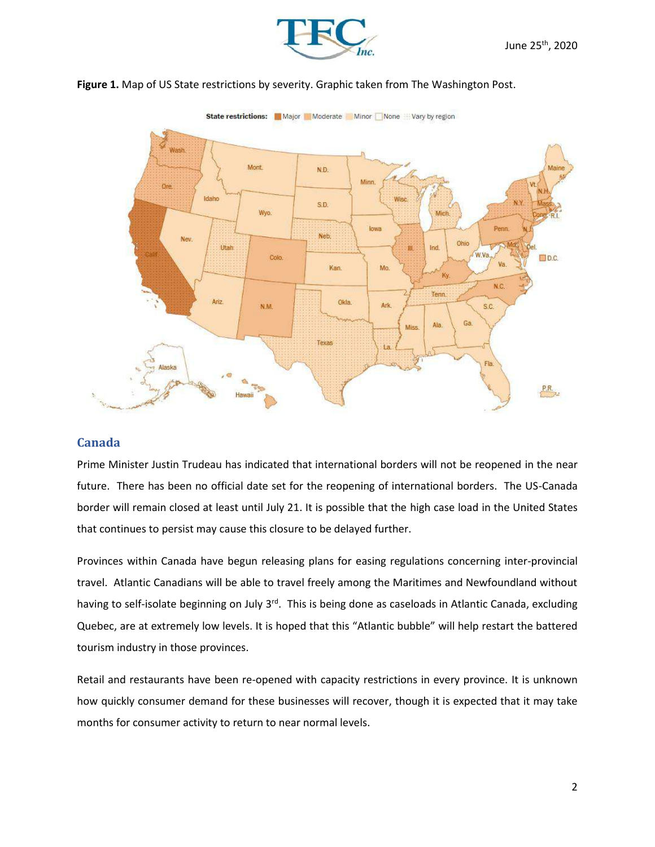



#### **Figure 1.** Map of US State restrictions by severity. Graphic taken from The Washington Post.

### **Canada**

Prime Minister Justin Trudeau has indicated that international borders will not be reopened in the near future. There has been no official date set for the reopening of international borders. The US-Canada border will remain closed at least until July 21. It is possible that the high case load in the United States that continues to persist may cause this closure to be delayed further.

Provinces within Canada have begun releasing plans for easing regulations concerning inter-provincial travel. Atlantic Canadians will be able to travel freely among the Maritimes and Newfoundland without having to self-isolate beginning on July 3<sup>rd</sup>. This is being done as caseloads in Atlantic Canada, excluding Quebec, are at extremely low levels. It is hoped that this "Atlantic bubble" will help restart the battered tourism industry in those provinces.

Retail and restaurants have been re-opened with capacity restrictions in every province. It is unknown how quickly consumer demand for these businesses will recover, though it is expected that it may take months for consumer activity to return to near normal levels.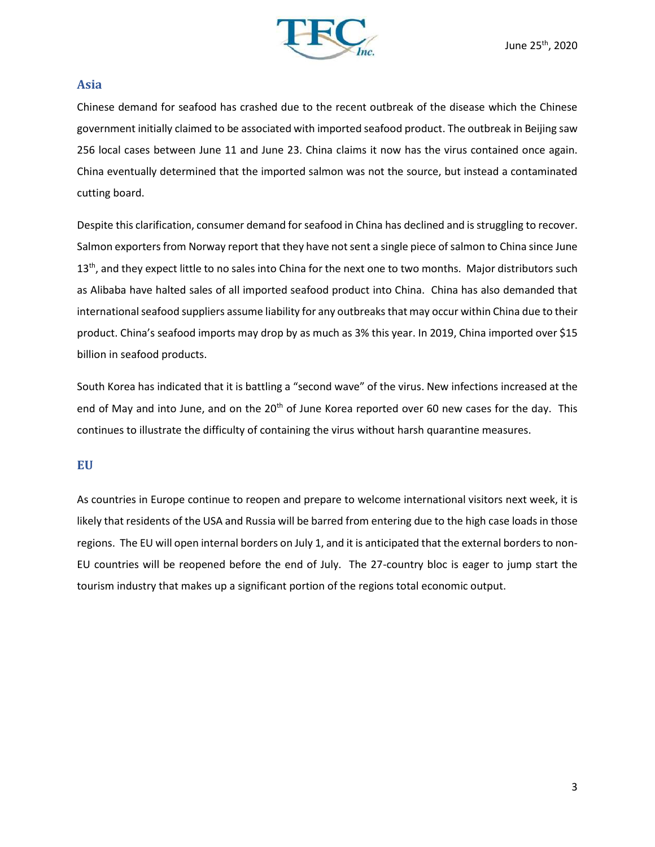

#### **Asia**

Chinese demand for seafood has crashed due to the recent outbreak of the disease which the Chinese government initially claimed to be associated with imported seafood product. The outbreak in Beijing saw 256 local cases between June 11 and June 23. China claims it now has the virus contained once again. China eventually determined that the imported salmon was not the source, but instead a contaminated cutting board.

Despite this clarification, consumer demand for seafood in China has declined and is struggling to recover. Salmon exporters from Norway report that they have not sent a single piece of salmon to China since June 13<sup>th</sup>, and they expect little to no sales into China for the next one to two months. Major distributors such as Alibaba have halted sales of all imported seafood product into China. China has also demanded that international seafood suppliers assume liability for any outbreaks that may occur within China due to their product. China's seafood imports may drop by as much as 3% this year. In 2019, China imported over \$15 billion in seafood products.

South Korea has indicated that it is battling a "second wave" of the virus. New infections increased at the end of May and into June, and on the  $20<sup>th</sup>$  of June Korea reported over 60 new cases for the day. This continues to illustrate the difficulty of containing the virus without harsh quarantine measures.

### **EU**

As countries in Europe continue to reopen and prepare to welcome international visitors next week, it is likely that residents of the USA and Russia will be barred from entering due to the high case loads in those regions. The EU will open internal borders on July 1, and it is anticipated that the external borders to non-EU countries will be reopened before the end of July. The 27-country bloc is eager to jump start the tourism industry that makes up a significant portion of the regions total economic output.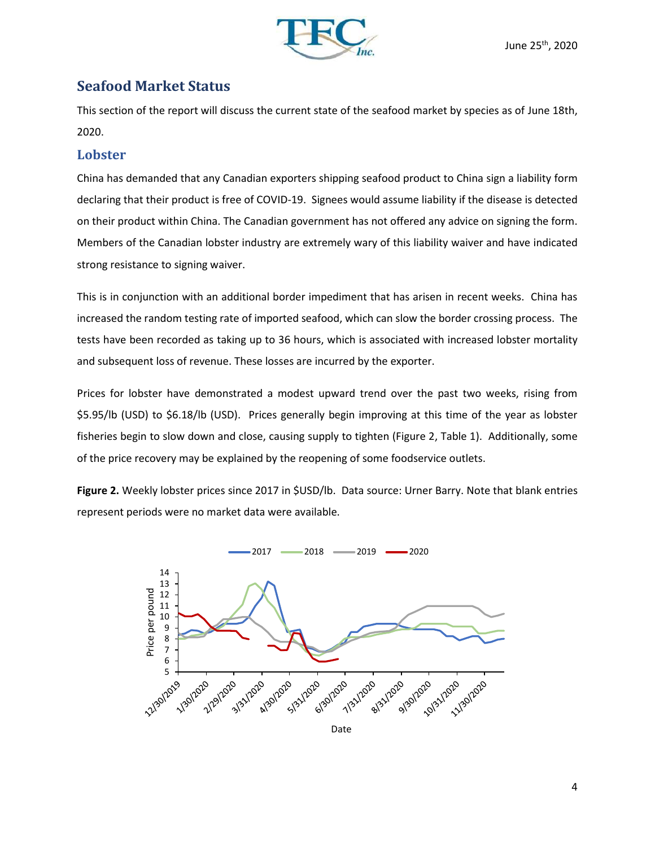

# **Seafood Market Status**

This section of the report will discuss the current state of the seafood market by species as of June 18th, 2020.

## **Lobster**

China has demanded that any Canadian exporters shipping seafood product to China sign a liability form declaring that their product is free of COVID-19. Signees would assume liability if the disease is detected on their product within China. The Canadian government has not offered any advice on signing the form. Members of the Canadian lobster industry are extremely wary of this liability waiver and have indicated strong resistance to signing waiver.

This is in conjunction with an additional border impediment that has arisen in recent weeks. China has increased the random testing rate of imported seafood, which can slow the border crossing process. The tests have been recorded as taking up to 36 hours, which is associated with increased lobster mortality and subsequent loss of revenue. These losses are incurred by the exporter.

Prices for lobster have demonstrated a modest upward trend over the past two weeks, rising from \$5.95/lb (USD) to \$6.18/lb (USD). Prices generally begin improving at this time of the year as lobster fisheries begin to slow down and close, causing supply to tighten (Figure 2, Table 1). Additionally, some of the price recovery may be explained by the reopening of some foodservice outlets.

**Figure 2.** Weekly lobster prices since 2017 in \$USD/lb. Data source: Urner Barry. Note that blank entries represent periods were no market data were available.

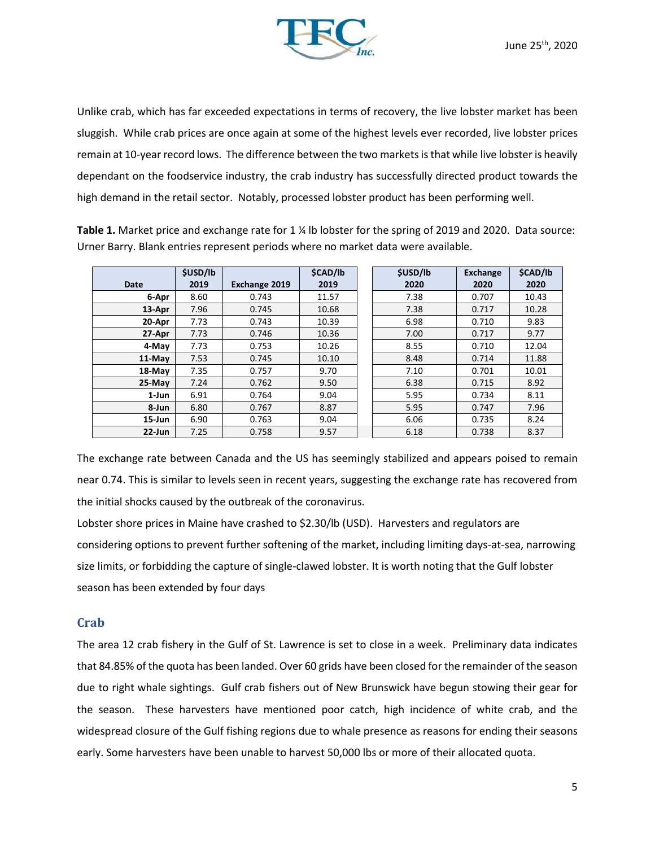

Unlike crab, which has far exceeded expectations in terms of recovery, the live lobster market has been sluggish. While crab prices are once again at some of the highest levels ever recorded, live lobster prices remain at 10-year record lows. The difference between the two markets is that while live lobster is heavily dependant on the foodservice industry, the crab industry has successfully directed product towards the high demand in the retail sector. Notably, processed lobster product has been performing well.

**Table 1.** Market price and exchange rate for 1 ¼ lb lobster for the spring of 2019 and 2020. Data source: Urner Barry. Blank entries represent periods where no market data were available.

|           | <b>\$USD/lb</b> |               | <b>\$CAD/lb</b> | <b>\$USD/lb</b> | <b>Exchange</b> | \$CAD/lb |
|-----------|-----------------|---------------|-----------------|-----------------|-----------------|----------|
| Date      | 2019            | Exchange 2019 | 2019            | 2020            | 2020            | 2020     |
| 6-Apr     | 8.60            | 0.743         | 11.57           | 7.38            | 0.707           | 10.43    |
| 13-Apr    | 7.96            | 0.745         | 10.68           | 7.38            | 0.717           | 10.28    |
| 20-Apr    | 7.73            | 0.743         | 10.39           | 6.98            | 0.710           | 9.83     |
| 27-Apr    | 7.73            | 0.746         | 10.36           | 7.00            | 0.717           | 9.77     |
| 4-May     | 7.73            | 0.753         | 10.26           | 8.55            | 0.710           | 12.04    |
| 11-May    | 7.53            | 0.745         | 10.10           | 8.48            | 0.714           | 11.88    |
| 18-May    | 7.35            | 0.757         | 9.70            | 7.10            | 0.701           | 10.01    |
| 25-May    | 7.24            | 0.762         | 9.50            | 6.38            | 0.715           | 8.92     |
| 1-Jun     | 6.91            | 0.764         | 9.04            | 5.95            | 0.734           | 8.11     |
| 8-Jun     | 6.80            | 0.767         | 8.87            | 5.95            | 0.747           | 7.96     |
| 15-Jun    | 6.90            | 0.763         | 9.04            | 6.06            | 0.735           | 8.24     |
| $22$ -Jun | 7.25            | 0.758         | 9.57            | 6.18            | 0.738           | 8.37     |

The exchange rate between Canada and the US has seemingly stabilized and appears poised to remain near 0.74. This is similar to levels seen in recent years, suggesting the exchange rate has recovered from the initial shocks caused by the outbreak of the coronavirus.

Lobster shore prices in Maine have crashed to \$2.30/lb (USD). Harvesters and regulators are considering options to prevent further softening of the market, including limiting days-at-sea, narrowing size limits, or forbidding the capture of single-clawed lobster. It is worth noting that the Gulf lobster season has been extended by four days

### **Crab**

The area 12 crab fishery in the Gulf of St. Lawrence is set to close in a week. Preliminary data indicates that 84.85% of the quota has been landed. Over 60 grids have been closed for the remainder of the season due to right whale sightings. Gulf crab fishers out of New Brunswick have begun stowing their gear for the season. These harvesters have mentioned poor catch, high incidence of white crab, and the widespread closure of the Gulf fishing regions due to whale presence as reasons for ending their seasons early. Some harvesters have been unable to harvest 50,000 lbs or more of their allocated quota.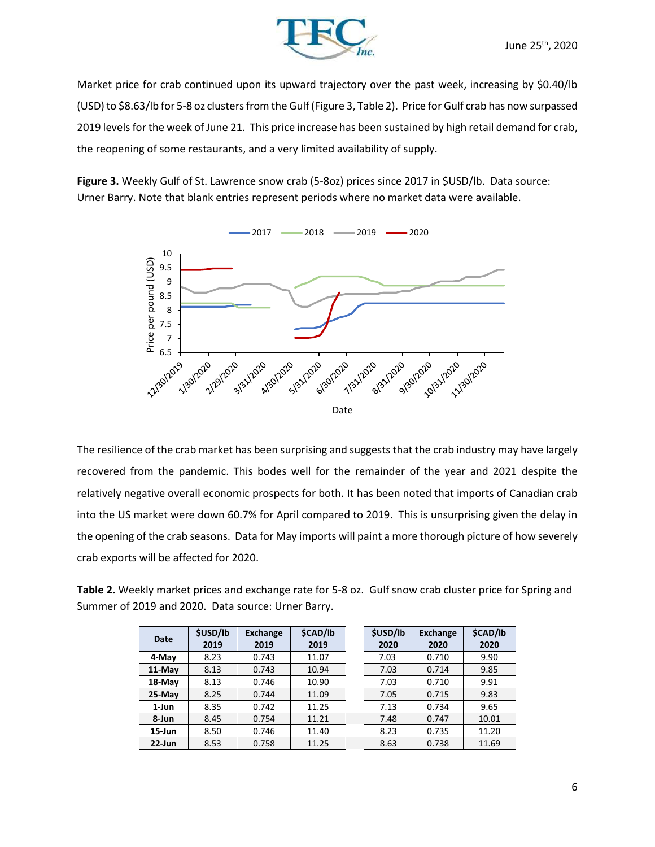

Market price for crab continued upon its upward trajectory over the past week, increasing by \$0.40/lb (USD) to \$8.63/lb for 5-8 oz clusters from the Gulf (Figure 3, Table 2). Price for Gulf crab has now surpassed 2019 levels for the week of June 21. This price increase has been sustained by high retail demand for crab, the reopening of some restaurants, and a very limited availability of supply.

**Figure 3.** Weekly Gulf of St. Lawrence snow crab (5-8oz) prices since 2017 in \$USD/lb. Data source: Urner Barry. Note that blank entries represent periods where no market data were available.



The resilience of the crab market has been surprising and suggests that the crab industry may have largely recovered from the pandemic. This bodes well for the remainder of the year and 2021 despite the relatively negative overall economic prospects for both. It has been noted that imports of Canadian crab into the US market were down 60.7% for April compared to 2019. This is unsurprising given the delay in the opening of the crab seasons. Data for May imports will paint a more thorough picture of how severely crab exports will be affected for 2020.

**Table 2.** Weekly market prices and exchange rate for 5-8 oz. Gulf snow crab cluster price for Spring and Summer of 2019 and 2020. Data source: Urner Barry.

| <b>Date</b> | <b>\$USD/lb</b><br>2019 | <b>Exchange</b><br>2019 | \$CAD/lb<br>2019 | <b>\$USD/lb</b><br>2020 | <b>Exchange</b><br>2020 | <b>\$CAD/I</b><br>2020 |
|-------------|-------------------------|-------------------------|------------------|-------------------------|-------------------------|------------------------|
| 4-May       | 8.23                    | 0.743                   | 11.07            | 7.03                    | 0.710                   | 9.90                   |
| 11-May      | 8.13                    | 0.743                   | 10.94            | 7.03                    | 0.714                   | 9.85                   |
| 18-May      | 8.13                    | 0.746                   | 10.90            | 7.03                    | 0.710                   | 9.91                   |
| 25-May      | 8.25                    | 0.744                   | 11.09            | 7.05                    | 0.715                   | 9.83                   |
| 1-Jun       | 8.35                    | 0.742                   | 11.25            | 7.13                    | 0.734                   | 9.65                   |
| 8-Jun       | 8.45                    | 0.754                   | 11.21            | 7.48                    | 0.747                   | 10.01                  |
| $15$ -Jun   | 8.50                    | 0.746                   | 11.40            | 8.23                    | 0.735                   | 11.20                  |
| $22$ -Jun   | 8.53                    | 0.758                   | 11.25            | 8.63                    | 0.738                   | 11.69                  |

| \$USD/lb<br>2020 | <b>Exchange</b><br>2020 | <b>\$CAD/lb</b><br>2020 |
|------------------|-------------------------|-------------------------|
| 7.03             | 0.710                   | 9.90                    |
| 7.03             | 0.714                   | 9.85                    |
| 7.03             | 0.710                   | 9.91                    |
| 7.05             | 0.715                   | 9.83                    |
| 7.13             | 0.734                   | 9.65                    |
| 7.48             | 0.747                   | 10.01                   |
| 8.23             | 0.735                   | 11.20                   |
| 8.63             | 0.738                   | 11.69                   |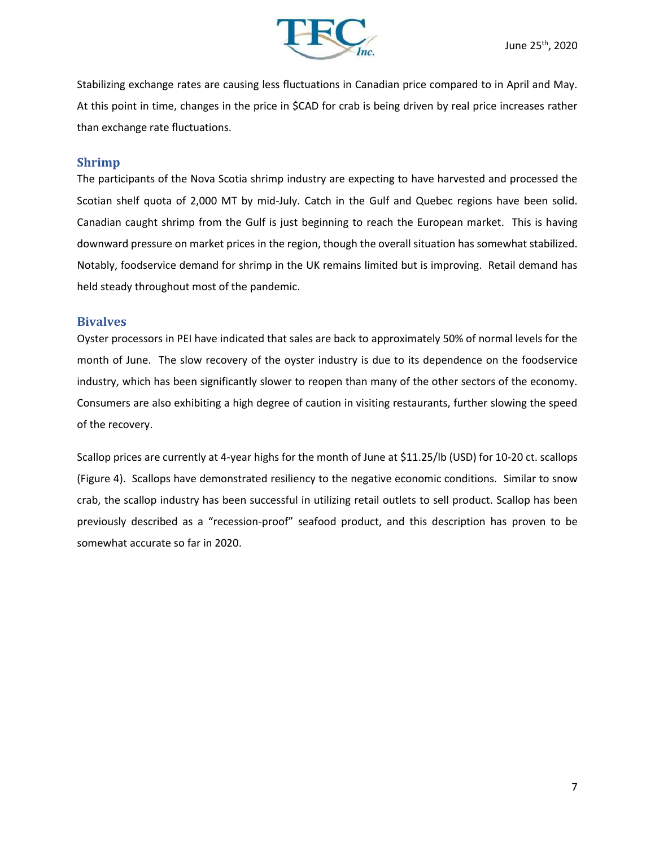

Stabilizing exchange rates are causing less fluctuations in Canadian price compared to in April and May. At this point in time, changes in the price in \$CAD for crab is being driven by real price increases rather than exchange rate fluctuations.

### **Shrimp**

The participants of the Nova Scotia shrimp industry are expecting to have harvested and processed the Scotian shelf quota of 2,000 MT by mid-July. Catch in the Gulf and Quebec regions have been solid. Canadian caught shrimp from the Gulf is just beginning to reach the European market. This is having downward pressure on market prices in the region, though the overall situation has somewhat stabilized. Notably, foodservice demand for shrimp in the UK remains limited but is improving. Retail demand has held steady throughout most of the pandemic.

### **Bivalves**

Oyster processors in PEI have indicated that sales are back to approximately 50% of normal levels for the month of June. The slow recovery of the oyster industry is due to its dependence on the foodservice industry, which has been significantly slower to reopen than many of the other sectors of the economy. Consumers are also exhibiting a high degree of caution in visiting restaurants, further slowing the speed of the recovery.

Scallop prices are currently at 4-year highs for the month of June at \$11.25/lb (USD) for 10-20 ct. scallops (Figure 4). Scallops have demonstrated resiliency to the negative economic conditions. Similar to snow crab, the scallop industry has been successful in utilizing retail outlets to sell product. Scallop has been previously described as a "recession-proof" seafood product, and this description has proven to be somewhat accurate so far in 2020.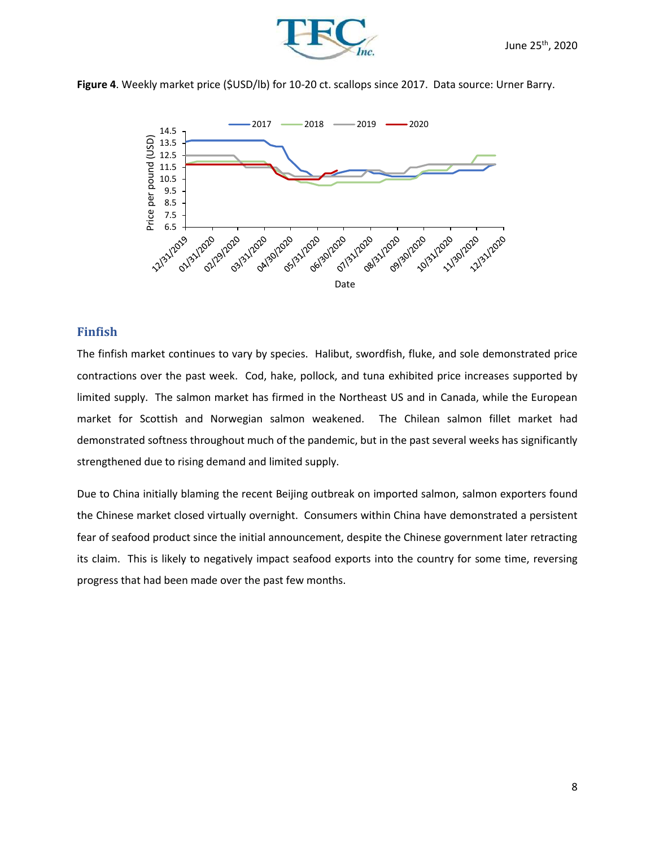





### **Finfish**

The finfish market continues to vary by species. Halibut, swordfish, fluke, and sole demonstrated price contractions over the past week. Cod, hake, pollock, and tuna exhibited price increases supported by limited supply. The salmon market has firmed in the Northeast US and in Canada, while the European market for Scottish and Norwegian salmon weakened. The Chilean salmon fillet market had demonstrated softness throughout much of the pandemic, but in the past several weeks has significantly strengthened due to rising demand and limited supply.

Due to China initially blaming the recent Beijing outbreak on imported salmon, salmon exporters found the Chinese market closed virtually overnight. Consumers within China have demonstrated a persistent fear of seafood product since the initial announcement, despite the Chinese government later retracting its claim. This is likely to negatively impact seafood exports into the country for some time, reversing progress that had been made over the past few months.